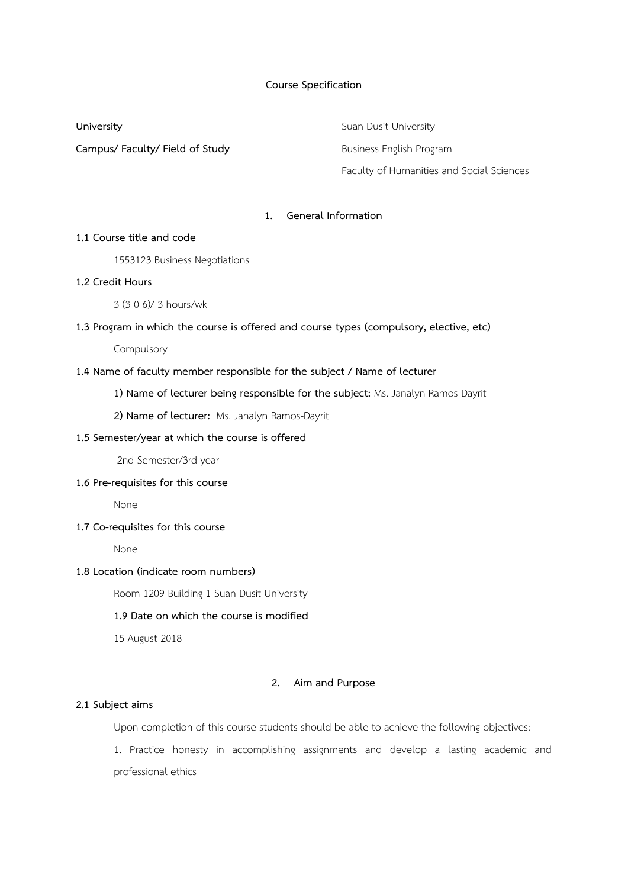## **Course Specification**

## **Campus/ Faculty/ Field of Study Business English Program**

**University Suan Dusit University** Faculty of Humanities and Social Sciences

# **1. General Information**

## **1.1 Course title and code**

1553123 Business Negotiations

## **1.2 Credit Hours**

3 (3-0-6)/ 3 hours/wk

## **1.3 Program in which the course is offered and course types (compulsory, elective, etc)**

Compulsory

### **1.4 Name of faculty member responsible for the subject / Name of lecturer**

**1) Name of lecturer being responsible for the subject:** Ms. Janalyn Ramos-Dayrit

**2) Name of lecturer:** Ms. Janalyn Ramos-Dayrit

#### **1.5 Semester/year at which the course is offered**

2nd Semester/3rd year

# **1.6 Pre-requisites for this course**

None

## **1.7 Co-requisites for this course**

None

## **1.8 Location (indicate room numbers)**

Room 1209 Building 1 Suan Dusit University

#### **1.9 Date on which the course is modified**

15 August 2018

## **2. Aim and Purpose**

#### **2.1 Subject aims**

Upon completion of this course students should be able to achieve the following objectives:

1. Practice honesty in accomplishing assignments and develop a lasting academic and professional ethics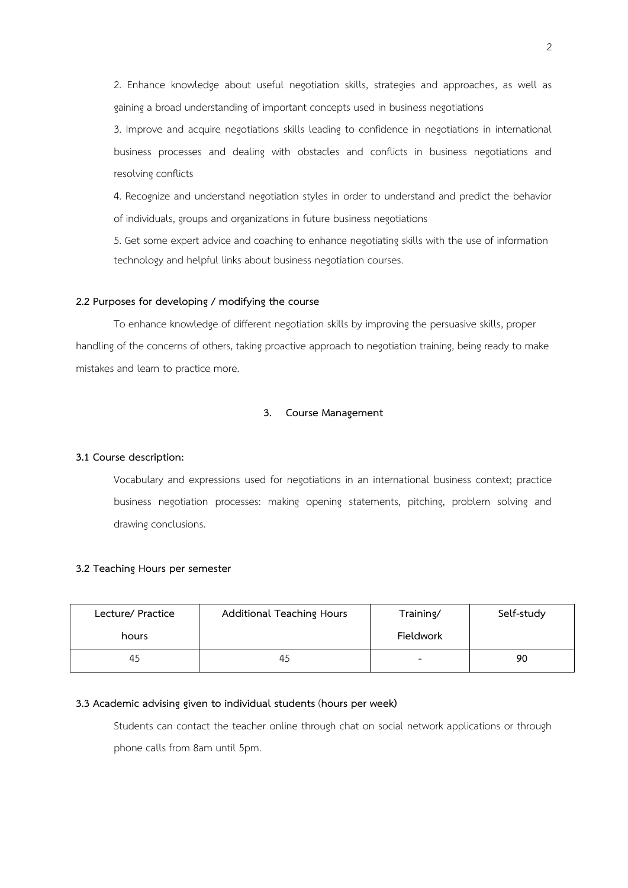2. Enhance knowledge about useful negotiation skills, strategies and approaches, as well as gaining a broad understanding of important concepts used in business negotiations

3. Improve and acquire negotiations skills leading to confidence in negotiations in international business processes and dealing with obstacles and conflicts in business negotiations and resolving conflicts

4. Recognize and understand negotiation styles in order to understand and predict the behavior of individuals, groups and organizations in future business negotiations

5. Get some expert advice and coaching to enhance negotiating skills with the use of information technology and helpful links about business negotiation courses.

#### **2.2 Purposes for developing / modifying the course**

To enhance knowledge of different negotiation skills by improving the persuasive skills, proper handling of the concerns of others, taking proactive approach to negotiation training, being ready to make mistakes and learn to practice more.

### **3. Course Management**

## **3.1 Course description:**

Vocabulary and expressions used for negotiations in an international business context; practice business negotiation processes: making opening statements, pitching, problem solving and drawing conclusions.

#### **3.2 Teaching Hours per semester**

| Lecture/ Practice | Additional Teaching Hours | Training/ | Self-study |
|-------------------|---------------------------|-----------|------------|
| hours             |                           | Fieldwork |            |
| 45                | 45                        |           | 90         |

#### **3.3 Academic advising given to individual students** (**hours per week)**

Students can contact the teacher online through chat on social network applications or through phone calls from 8am until 5pm.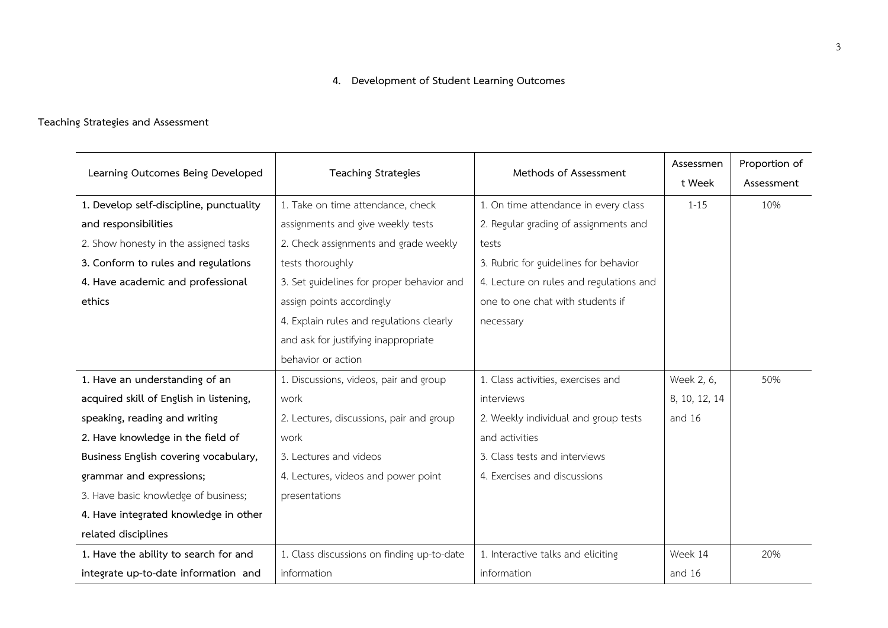# **4. Development of Student Learning Outcomes**

# **Teaching Strategies and Assessment**

| Learning Outcomes Being Developed                                            | <b>Teaching Strategies</b>                 | Methods of Assessment                            | Assessmen<br>t Week | Proportion of<br>Assessment |
|------------------------------------------------------------------------------|--------------------------------------------|--------------------------------------------------|---------------------|-----------------------------|
| 1. Develop self-discipline, punctuality<br>1. Take on time attendance, check |                                            | 1. On time attendance in every class             | $1 - 15$            | 10%                         |
| and responsibilities                                                         | assignments and give weekly tests          | 2. Regular grading of assignments and            |                     |                             |
| 2. Show honesty in the assigned tasks                                        | 2. Check assignments and grade weekly      | tests                                            |                     |                             |
| 3. Conform to rules and regulations                                          | tests thoroughly                           | 3. Rubric for guidelines for behavior            |                     |                             |
| 4. Have academic and professional                                            | 3. Set guidelines for proper behavior and  | 4. Lecture on rules and regulations and          |                     |                             |
| ethics                                                                       | assign points accordingly                  | one to one chat with students if                 |                     |                             |
|                                                                              | 4. Explain rules and regulations clearly   | necessary                                        |                     |                             |
|                                                                              | and ask for justifying inappropriate       |                                                  |                     |                             |
|                                                                              | behavior or action                         |                                                  |                     |                             |
| 1. Have an understanding of an                                               | 1. Discussions, videos, pair and group     | 1. Class activities, exercises and<br>Week 2, 6, |                     | 50%                         |
| acquired skill of English in listening,                                      | work                                       | interviews                                       | 8, 10, 12, 14       |                             |
| speaking, reading and writing                                                | 2. Lectures, discussions, pair and group   | 2. Weekly individual and group tests             | and 16              |                             |
| 2. Have knowledge in the field of                                            | work                                       | and activities                                   |                     |                             |
| Business English covering vocabulary,                                        | 3. Lectures and videos                     | 3. Class tests and interviews                    |                     |                             |
| grammar and expressions;                                                     | 4. Lectures, videos and power point        | 4. Exercises and discussions                     |                     |                             |
| 3. Have basic knowledge of business;                                         | presentations                              |                                                  |                     |                             |
| 4. Have integrated knowledge in other                                        |                                            |                                                  |                     |                             |
| related disciplines                                                          |                                            |                                                  |                     |                             |
| 1. Have the ability to search for and                                        | 1. Class discussions on finding up-to-date | 1. Interactive talks and eliciting               | Week 14             | 20%                         |
| integrate up-to-date information and                                         | information                                | information                                      | and 16              |                             |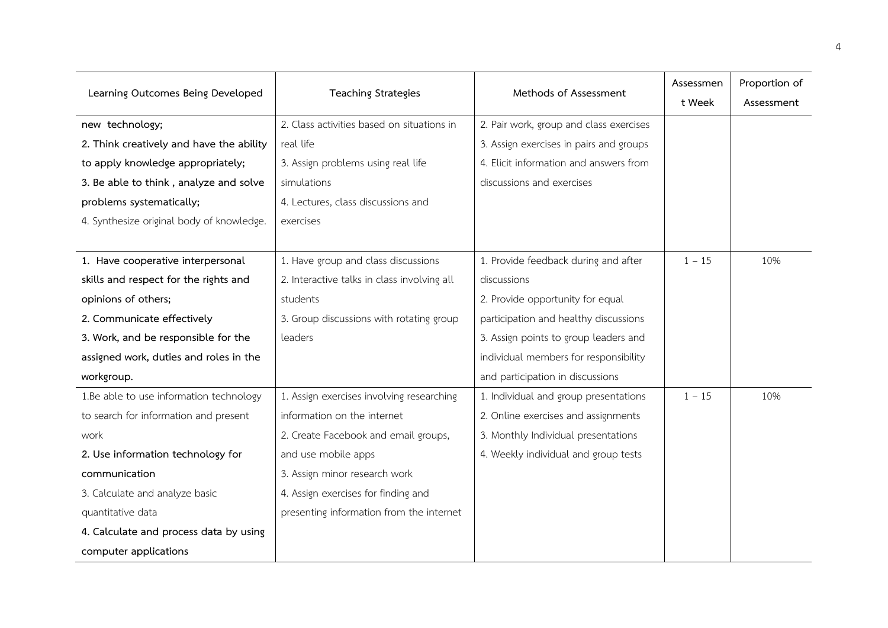| Learning Outcomes Being Developed         | <b>Teaching Strategies</b>                  | Methods of Assessment                   | Assessmen<br>t Week | Proportion of<br>Assessment |
|-------------------------------------------|---------------------------------------------|-----------------------------------------|---------------------|-----------------------------|
| new technology;                           | 2. Class activities based on situations in  | 2. Pair work, group and class exercises |                     |                             |
| 2. Think creatively and have the ability  | real life                                   | 3. Assign exercises in pairs and groups |                     |                             |
| to apply knowledge appropriately;         | 3. Assign problems using real life          | 4. Elicit information and answers from  |                     |                             |
| 3. Be able to think, analyze and solve    | simulations                                 | discussions and exercises               |                     |                             |
| problems systematically;                  | 4. Lectures, class discussions and          |                                         |                     |                             |
| 4. Synthesize original body of knowledge. | exercises                                   |                                         |                     |                             |
|                                           |                                             |                                         |                     |                             |
| 1. Have cooperative interpersonal         | 1. Have group and class discussions         | 1. Provide feedback during and after    | $1 - 15$            | 10%                         |
| skills and respect for the rights and     | 2. Interactive talks in class involving all | discussions                             |                     |                             |
| opinions of others;                       | students                                    | 2. Provide opportunity for equal        |                     |                             |
| 2. Communicate effectively                | 3. Group discussions with rotating group    | participation and healthy discussions   |                     |                             |
| 3. Work, and be responsible for the       | leaders                                     | 3. Assign points to group leaders and   |                     |                             |
| assigned work, duties and roles in the    |                                             | individual members for responsibility   |                     |                             |
| workgroup.                                |                                             | and participation in discussions        |                     |                             |
| 1.Be able to use information technology   | 1. Assign exercises involving researching   | 1. Individual and group presentations   | $1 - 15$            | 10%                         |
| to search for information and present     | information on the internet                 | 2. Online exercises and assignments     |                     |                             |
| work                                      | 2. Create Facebook and email groups,        | 3. Monthly Individual presentations     |                     |                             |
| 2. Use information technology for         | and use mobile apps                         | 4. Weekly individual and group tests    |                     |                             |
| communication                             | 3. Assign minor research work               |                                         |                     |                             |
| 3. Calculate and analyze basic            | 4. Assign exercises for finding and         |                                         |                     |                             |
| quantitative data                         | presenting information from the internet    |                                         |                     |                             |
| 4. Calculate and process data by using    |                                             |                                         |                     |                             |
| computer applications                     |                                             |                                         |                     |                             |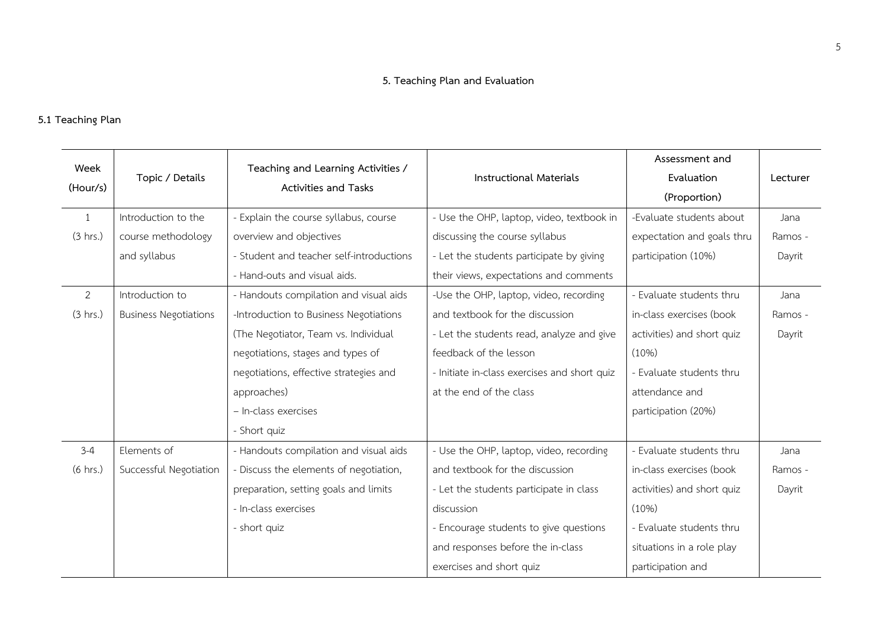# **5. Teaching Plan and Evaluation**

# **5.1 Teaching Plan**

| Week               |                              | Teaching and Learning Activities /       |                                              | Assessment and             |          |
|--------------------|------------------------------|------------------------------------------|----------------------------------------------|----------------------------|----------|
|                    | Topic / Details              |                                          | <b>Instructional Materials</b>               | Evaluation                 | Lecturer |
| (Hour/s)           |                              | Activities and Tasks                     |                                              | (Proportion)               |          |
| 1                  | Introduction to the          | - Explain the course syllabus, course    | - Use the OHP, laptop, video, textbook in    | -Evaluate students about   | Jana     |
| (3 hrs.)           | course methodology           | overview and objectives                  | discussing the course syllabus               | expectation and goals thru | Ramos -  |
|                    | and syllabus                 | - Student and teacher self-introductions | - Let the students participate by giving     | participation (10%)        | Dayrit   |
|                    |                              | - Hand-outs and visual aids.             | their views, expectations and comments       |                            |          |
| $\overline{2}$     | Introduction to              | - Handouts compilation and visual aids   | -Use the OHP, laptop, video, recording       | - Evaluate students thru   | Jana     |
| (3 hrs.)           | <b>Business Negotiations</b> | -Introduction to Business Negotiations   | and textbook for the discussion              | in-class exercises (book   | Ramos -  |
|                    |                              | (The Negotiator, Team vs. Individual     | - Let the students read, analyze and give    | activities) and short quiz | Dayrit   |
|                    |                              | negotiations, stages and types of        | feedback of the lesson                       | (10%)                      |          |
|                    |                              | negotiations, effective strategies and   | - Initiate in-class exercises and short quiz | - Evaluate students thru   |          |
|                    |                              | approaches)                              | at the end of the class                      | attendance and             |          |
|                    |                              | - In-class exercises                     |                                              | participation (20%)        |          |
|                    |                              | - Short quiz                             |                                              |                            |          |
| $3 - 4$            | Elements of                  | - Handouts compilation and visual aids   | - Use the OHP, laptop, video, recording      | - Evaluate students thru   | Jana     |
| $(6 \text{ hrs.})$ | Successful Negotiation       | - Discuss the elements of negotiation,   | and textbook for the discussion              | in-class exercises (book   | Ramos -  |
|                    |                              | preparation, setting goals and limits    | - Let the students participate in class      | activities) and short quiz | Dayrit   |
|                    |                              | - In-class exercises                     | discussion                                   | (10%)                      |          |
|                    |                              | - short quiz                             | - Encourage students to give questions       | - Evaluate students thru   |          |
|                    |                              |                                          | and responses before the in-class            | situations in a role play  |          |
|                    |                              |                                          | exercises and short quiz                     | participation and          |          |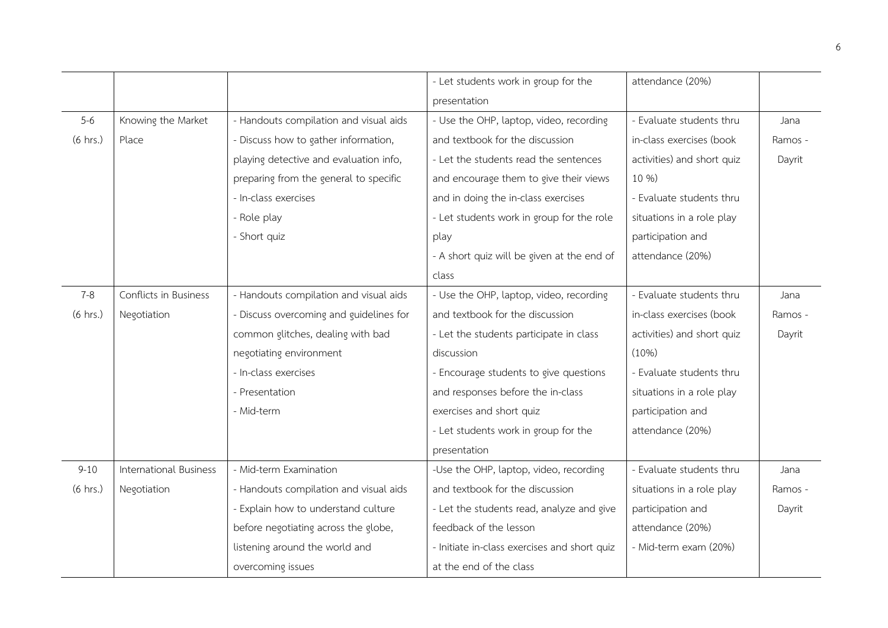|                    |                               |                                         | - Let students work in group for the         | attendance (20%)           |         |
|--------------------|-------------------------------|-----------------------------------------|----------------------------------------------|----------------------------|---------|
|                    |                               |                                         | presentation                                 |                            |         |
| $5 - 6$            | Knowing the Market            | - Handouts compilation and visual aids  | - Use the OHP, laptop, video, recording      | - Evaluate students thru   | Jana    |
| $(6 \text{ hrs.})$ | Place                         | - Discuss how to gather information,    | and textbook for the discussion              | in-class exercises (book   | Ramos - |
|                    |                               | playing detective and evaluation info,  | - Let the students read the sentences        | activities) and short quiz | Dayrit  |
|                    |                               | preparing from the general to specific  | and encourage them to give their views       | 10 %)                      |         |
|                    |                               | - In-class exercises                    | and in doing the in-class exercises          | - Evaluate students thru   |         |
|                    |                               | - Role play                             | - Let students work in group for the role    | situations in a role play  |         |
|                    |                               | - Short quiz                            | play                                         | participation and          |         |
|                    |                               |                                         | - A short quiz will be given at the end of   | attendance (20%)           |         |
|                    |                               |                                         | class                                        |                            |         |
| $7 - 8$            | Conflicts in Business         | - Handouts compilation and visual aids  | - Use the OHP, laptop, video, recording      | - Evaluate students thru   | Jana    |
| $(6 \text{ hrs.})$ | Negotiation                   | - Discuss overcoming and guidelines for | and textbook for the discussion              | in-class exercises (book   | Ramos - |
|                    |                               | common glitches, dealing with bad       | - Let the students participate in class      | activities) and short quiz | Dayrit  |
|                    |                               | negotiating environment                 | discussion                                   | (10%)                      |         |
|                    |                               | - In-class exercises                    | - Encourage students to give questions       | - Evaluate students thru   |         |
|                    |                               | - Presentation                          | and responses before the in-class            | situations in a role play  |         |
|                    |                               | - Mid-term                              | exercises and short quiz                     | participation and          |         |
|                    |                               |                                         | - Let students work in group for the         | attendance (20%)           |         |
|                    |                               |                                         | presentation                                 |                            |         |
| $9 - 10$           | <b>International Business</b> | - Mid-term Examination                  | -Use the OHP, laptop, video, recording       | - Evaluate students thru   | Jana    |
| $(6 \text{ hrs.})$ | Negotiation                   | - Handouts compilation and visual aids  | and textbook for the discussion              | situations in a role play  | Ramos - |
|                    |                               | - Explain how to understand culture     | - Let the students read, analyze and give    | participation and          | Dayrit  |
|                    |                               | before negotiating across the globe,    | feedback of the lesson                       | attendance (20%)           |         |
|                    |                               | listening around the world and          | - Initiate in-class exercises and short quiz | - Mid-term exam (20%)      |         |
|                    |                               | overcoming issues                       | at the end of the class                      |                            |         |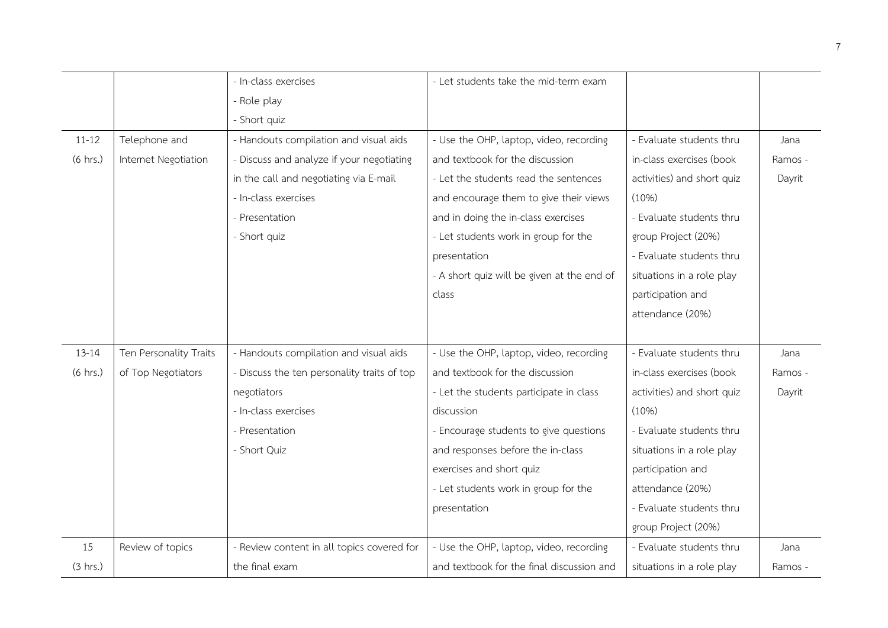|                    |                        | - In-class exercises                        | - Let students take the mid-term exam      |                            |         |
|--------------------|------------------------|---------------------------------------------|--------------------------------------------|----------------------------|---------|
|                    |                        | - Role play                                 |                                            |                            |         |
|                    |                        | - Short quiz                                |                                            |                            |         |
| $11 - 12$          | Telephone and          | - Handouts compilation and visual aids      | - Use the OHP, laptop, video, recording    | - Evaluate students thru   | Jana    |
| $(6 \text{ hrs.})$ | Internet Negotiation   | - Discuss and analyze if your negotiating   | and textbook for the discussion            | in-class exercises (book   | Ramos - |
|                    |                        | in the call and negotiating via E-mail      | - Let the students read the sentences      | activities) and short quiz | Dayrit  |
|                    |                        | - In-class exercises                        | and encourage them to give their views     | (10%)                      |         |
|                    |                        | - Presentation                              | and in doing the in-class exercises        | - Evaluate students thru   |         |
|                    |                        | - Short quiz                                | - Let students work in group for the       | group Project (20%)        |         |
|                    |                        |                                             | presentation                               | - Evaluate students thru   |         |
|                    |                        |                                             | - A short quiz will be given at the end of | situations in a role play  |         |
|                    |                        |                                             | class                                      | participation and          |         |
|                    |                        |                                             |                                            | attendance (20%)           |         |
|                    |                        |                                             |                                            |                            |         |
| $13 - 14$          | Ten Personality Traits | - Handouts compilation and visual aids      | - Use the OHP, laptop, video, recording    | - Evaluate students thru   | Jana    |
| $(6 \text{ hrs.})$ | of Top Negotiators     | - Discuss the ten personality traits of top | and textbook for the discussion            | in-class exercises (book   | Ramos - |
|                    |                        | negotiators                                 | - Let the students participate in class    | activities) and short quiz | Dayrit  |
|                    |                        | - In-class exercises                        | discussion                                 | (10%)                      |         |
|                    |                        | - Presentation                              | - Encourage students to give questions     | - Evaluate students thru   |         |
|                    |                        | - Short Quiz                                | and responses before the in-class          | situations in a role play  |         |
|                    |                        |                                             | exercises and short quiz                   | participation and          |         |
|                    |                        |                                             | - Let students work in group for the       | attendance (20%)           |         |
|                    |                        |                                             | presentation                               | - Evaluate students thru   |         |
|                    |                        |                                             |                                            | group Project (20%)        |         |
| 15                 | Review of topics       | - Review content in all topics covered for  | - Use the OHP, laptop, video, recording    | - Evaluate students thru   | Jana    |
| (3 hrs.)           |                        | the final exam                              | and textbook for the final discussion and  | situations in a role play  | Ramos - |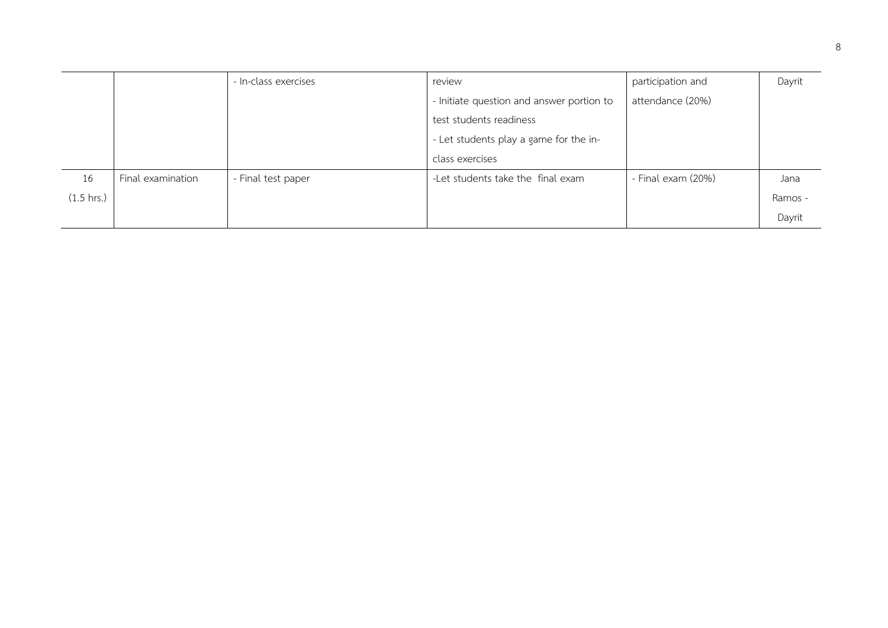|                      |                   | - In-class exercises | review                                    | participation and  | Dayrit  |
|----------------------|-------------------|----------------------|-------------------------------------------|--------------------|---------|
|                      |                   |                      | - Initiate question and answer portion to | attendance (20%)   |         |
|                      |                   |                      | test students readiness                   |                    |         |
|                      |                   |                      | - Let students play a game for the in-    |                    |         |
|                      |                   |                      | class exercises                           |                    |         |
| 16                   | Final examination | - Final test paper   | -Let students take the final exam         | - Final exam (20%) | Jana    |
| $(1.5 \text{ hrs.})$ |                   |                      |                                           |                    | Ramos - |
|                      |                   |                      |                                           |                    | Dayrit  |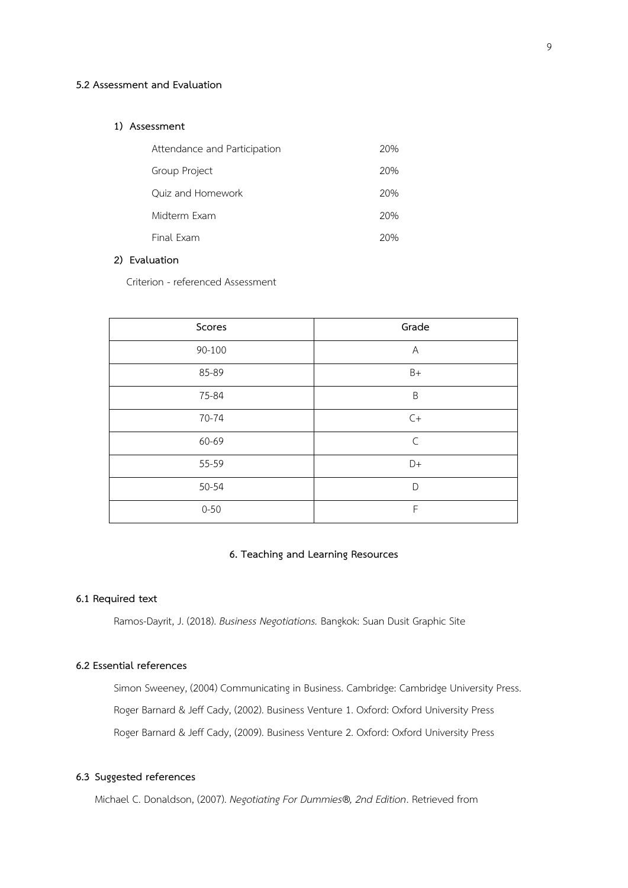#### **5.2 Assessment and Evaluation**

## **1) Assessment**

| Attendance and Participation | 20% |
|------------------------------|-----|
| Group Project                | 20% |
| Ouiz and Homework            | 20% |
| Midterm Exam                 | 20% |
| Final Exam                   | 20% |

## **2) Evaluation**

Criterion - referenced Assessment

| Scores   | Grade                     |
|----------|---------------------------|
| 90-100   | $\boldsymbol{\mathsf{A}}$ |
| 85-89    | $B+$                      |
| 75-84    | $\sf B$                   |
| 70-74    | $C+$                      |
| 60-69    | $\mathsf{C}$              |
| 55-59    | $D+$                      |
| 50-54    | D                         |
| $0 - 50$ | F                         |

# **6. Teaching and Learning Resources**

## **6.1 Required text**

Ramos-Dayrit, J. (2018). *Business Negotiations.* Bangkok: Suan Dusit Graphic Site

# **6.2 Essential references**

Simon Sweeney, (2004) Communicating in Business. Cambridge: Cambridge University Press. Roger Barnard & Jeff Cady, (2002). Business Venture 1. Oxford: Oxford University Press Roger Barnard & Jeff Cady, (2009). Business Venture 2. Oxford: Oxford University Press

#### **6.3 Suggested references**

Michael C. Donaldson, (2007). *Negotiating For Dummies®, 2nd Edition*. Retrieved from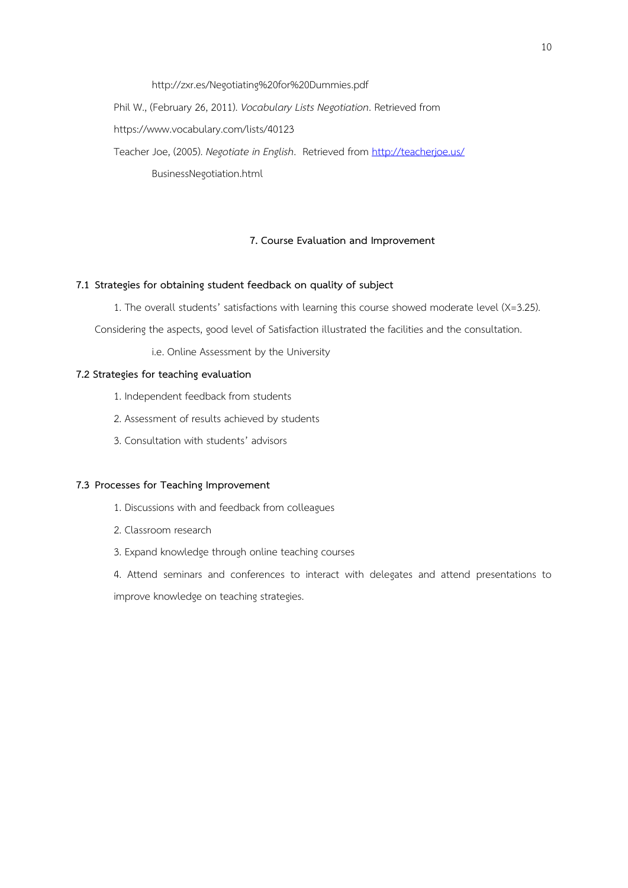http://zxr.es/Negotiating%20for%20Dummies.pdf

Phil W., (February 26, 2011). *Vocabulary Lists Negotiation*. Retrieved from

https://www.vocabulary.com/lists/40123

Teacher Joe, (2005). *Negotiate in English*. Retrieved from<http://teacherjoe.us/> BusinessNegotiation.html

### **7. Course Evaluation and Improvement**

## **7.1 Strategies for obtaining student feedback on quality of subject**

1. The overall students' satisfactions with learning this course showed moderate level (X=3.25).

Considering the aspects, good level of Satisfaction illustrated the facilities and the consultation.

i.e. Online Assessment by the University

# **7.2 Strategies for teaching evaluation**

- 1. Independent feedback from students
- 2. Assessment of results achieved by students
- 3. Consultation with students' advisors

## **7.3 Processes for Teaching Improvement**

- 1. Discussions with and feedback from colleagues
- 2. Classroom research
- 3. Expand knowledge through online teaching courses

4. Attend seminars and conferences to interact with delegates and attend presentations to improve knowledge on teaching strategies.